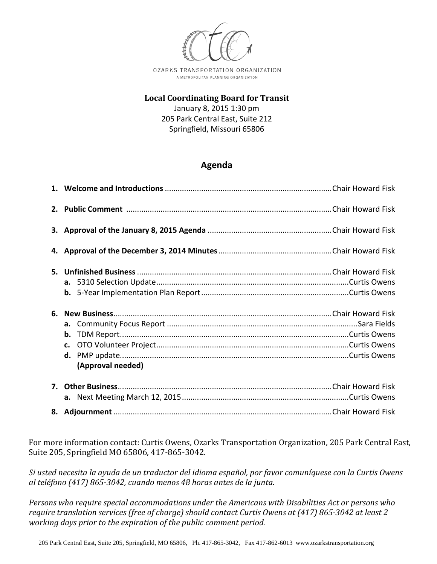

## **Local Coordinating Board for Transit** January 8, 2015 1:30 pm 205 Park Central East, Suite 212 Springfield, Missouri 65806

## **Agenda**

| 5. |                   |  |
|----|-------------------|--|
|    |                   |  |
|    |                   |  |
| 6. |                   |  |
|    |                   |  |
|    |                   |  |
|    | $c_{\cdot}$       |  |
|    |                   |  |
|    | (Approval needed) |  |
| 7. |                   |  |
|    |                   |  |

**8. Adjournment** ......................................................................................................Chair Howard Fisk

For more information contact: Curtis Owens, Ozarks Transportation Organization, 205 Park Central East, Suite 205, Springfield MO 65806, 417-865-3042.

*Si usted necesita la ayuda de un traductor del idioma español, por favor comuníquese con la Curtis Owens al teléfono (417) 865-3042, cuando menos 48 horas antes de la junta.*

*Persons who require special accommodations under the Americans with Disabilities Act or persons who require translation services (free of charge) should contact Curtis Owens at (417) 865-3042 at least 2 working days prior to the expiration of the public comment period.*